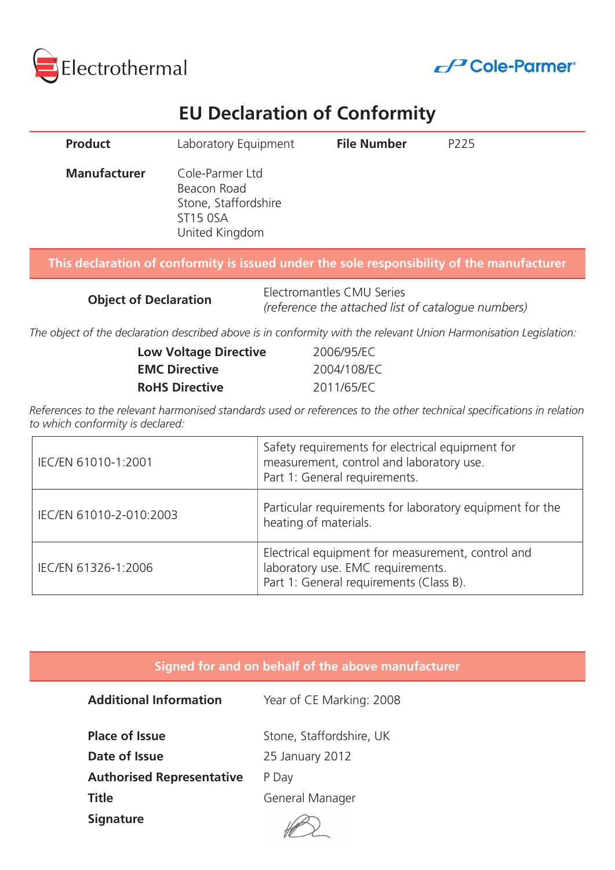



## **EU Declaration of Conformity**

| <b>Product</b>      | Laboratory Equipment                                                                        | <b>File Number</b> | P225 |
|---------------------|---------------------------------------------------------------------------------------------|--------------------|------|
| <b>Manufacturer</b> | Cole-Parmer Ltd<br>Beacon Road<br>Stone, Staffordshire<br><b>ST15 0SA</b><br>United Kingdom |                    |      |

## **This declaration of conformity is issued under the sole responsibility of the manufacturer**

| <b>Object of Declaration</b> | Electromantles CMU Series                          |
|------------------------------|----------------------------------------------------|
|                              | (reference the attached list of catalogue numbers) |

*The object of the declaration described above is in conformity with the relevant Union Harmonisation Legislation:*

| <b>Low Voltage Directive</b> | 2006/95/EC  |
|------------------------------|-------------|
| <b>EMC Directive</b>         | 2004/108/EC |
| <b>RoHS Directive</b>        | 2011/65/EC  |

*References to the relevant harmonised standards used or references to the other technical specifications in relation to which conformity is declared:*

| IEC/EN 61010-1:2001     | Safety requirements for electrical equipment for<br>measurement, control and laboratory use.<br>Part 1: General requirements.     |
|-------------------------|-----------------------------------------------------------------------------------------------------------------------------------|
| IEC/EN 61010-2-010:2003 | Particular requirements for laboratory equipment for the<br>heating of materials.                                                 |
| IEC/EN 61326-1:2006     | Electrical equipment for measurement, control and<br>laboratory use. EMC requirements.<br>Part 1: General requirements (Class B). |

## **Signed for and on behalf of the above manufacturer**

| <b>Additional Information</b>    | Year of CE Marking: 2008 |
|----------------------------------|--------------------------|
| <b>Place of Issue</b>            | Stone, Staffordshire, UK |
| Date of Issue                    | 25 January 2012          |
| <b>Authorised Representative</b> | P Day                    |
| <b>Title</b>                     | General Manager          |
| <b>Signature</b>                 |                          |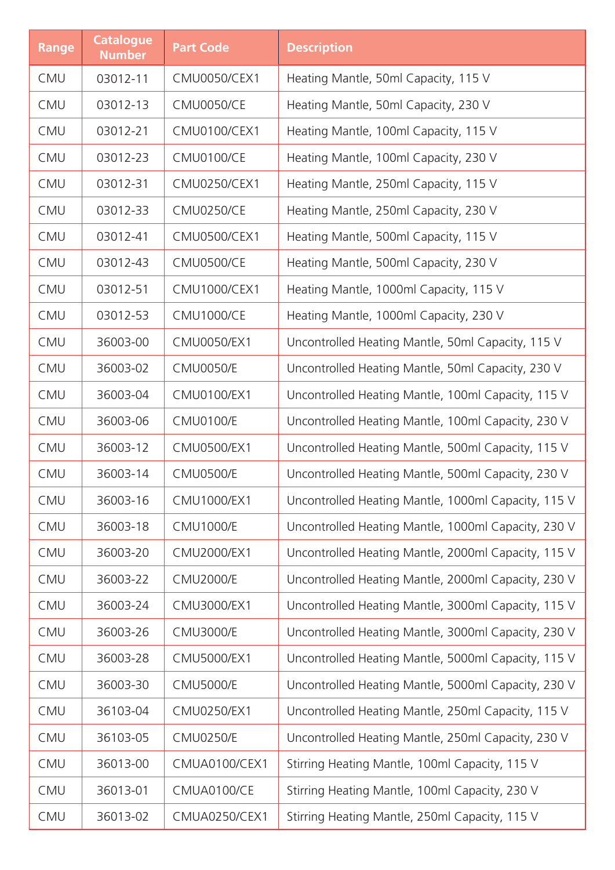| Range      | <b>Catalogue</b><br><b>Number</b> | <b>Part Code</b>    | <b>Description</b>                                  |
|------------|-----------------------------------|---------------------|-----------------------------------------------------|
| CMU        | 03012-11                          | <b>CMU0050/CEX1</b> | Heating Mantle, 50ml Capacity, 115 V                |
| CMU        | 03012-13                          | <b>CMU0050/CE</b>   | Heating Mantle, 50ml Capacity, 230 V                |
| CMU        | 03012-21                          | <b>CMU0100/CEX1</b> | Heating Mantle, 100ml Capacity, 115 V               |
| CMU        | 03012-23                          | <b>CMU0100/CE</b>   | Heating Mantle, 100ml Capacity, 230 V               |
| CMU        | 03012-31                          | <b>CMU0250/CEX1</b> | Heating Mantle, 250ml Capacity, 115 V               |
| CMU        | 03012-33                          | <b>CMU0250/CE</b>   | Heating Mantle, 250ml Capacity, 230 V               |
| CMU        | 03012-41                          | <b>CMU0500/CEX1</b> | Heating Mantle, 500ml Capacity, 115 V               |
| CMU        | 03012-43                          | <b>CMU0500/CE</b>   | Heating Mantle, 500ml Capacity, 230 V               |
| CMU        | 03012-51                          | <b>CMU1000/CEX1</b> | Heating Mantle, 1000ml Capacity, 115 V              |
| CMU        | 03012-53                          | <b>CMU1000/CE</b>   | Heating Mantle, 1000ml Capacity, 230 V              |
| CMU        | 36003-00                          | CMU0050/EX1         | Uncontrolled Heating Mantle, 50ml Capacity, 115 V   |
| CMU        | 36003-02                          | <b>CMU0050/E</b>    | Uncontrolled Heating Mantle, 50ml Capacity, 230 V   |
| <b>CMU</b> | 36003-04                          | CMU0100/EX1         | Uncontrolled Heating Mantle, 100ml Capacity, 115 V  |
| CMU        | 36003-06                          | <b>CMU0100/E</b>    | Uncontrolled Heating Mantle, 100ml Capacity, 230 V  |
| CMU        | 36003-12                          | CMU0500/EX1         | Uncontrolled Heating Mantle, 500ml Capacity, 115 V  |
| CMU        | 36003-14                          | <b>CMU0500/E</b>    | Uncontrolled Heating Mantle, 500ml Capacity, 230 V  |
| CMU        | 36003-16                          | CMU1000/EX1         | Uncontrolled Heating Mantle, 1000ml Capacity, 115 V |
| CMU        | 36003-18                          | <b>CMU1000/E</b>    | Uncontrolled Heating Mantle, 1000ml Capacity, 230 V |
| CMU        | 36003-20                          | CMU2000/EX1         | Uncontrolled Heating Mantle, 2000ml Capacity, 115 V |
| <b>CMU</b> | 36003-22                          | <b>CMU2000/E</b>    | Uncontrolled Heating Mantle, 2000ml Capacity, 230 V |
| CMU        | 36003-24                          | CMU3000/EX1         | Uncontrolled Heating Mantle, 3000ml Capacity, 115 V |
| CMU        | 36003-26                          | <b>CMU3000/E</b>    | Uncontrolled Heating Mantle, 3000ml Capacity, 230 V |
| CMU        | 36003-28                          | CMU5000/EX1         | Uncontrolled Heating Mantle, 5000ml Capacity, 115 V |
| <b>CMU</b> | 36003-30                          | <b>CMU5000/E</b>    | Uncontrolled Heating Mantle, 5000ml Capacity, 230 V |
| CMU        | 36103-04                          | CMU0250/EX1         | Uncontrolled Heating Mantle, 250ml Capacity, 115 V  |
| CMU        | 36103-05                          | <b>CMU0250/E</b>    | Uncontrolled Heating Mantle, 250ml Capacity, 230 V  |
| CMU        | 36013-00                          | CMUA0100/CEX1       | Stirring Heating Mantle, 100ml Capacity, 115 V      |
| CMU        | 36013-01                          | CMUA0100/CE         | Stirring Heating Mantle, 100ml Capacity, 230 V      |
| CMU        | 36013-02                          | CMUA0250/CEX1       | Stirring Heating Mantle, 250ml Capacity, 115 V      |